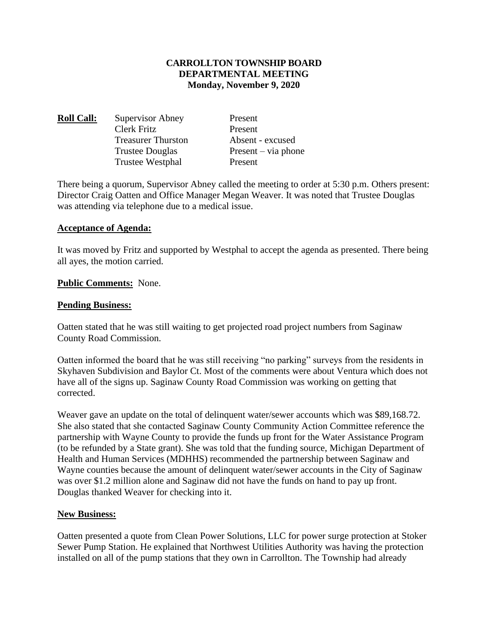### **CARROLLTON TOWNSHIP BOARD DEPARTMENTAL MEETING Monday, November 9, 2020**

| <b>Roll Call:</b> | Supervisor Abney          | Present               |
|-------------------|---------------------------|-----------------------|
|                   | Clerk Fritz               | Present               |
|                   | <b>Treasurer Thurston</b> | Absent - excused      |
|                   | <b>Trustee Douglas</b>    | $Present - via phone$ |
|                   | <b>Trustee Westphal</b>   | Present               |
|                   |                           |                       |

There being a quorum, Supervisor Abney called the meeting to order at 5:30 p.m. Others present: Director Craig Oatten and Office Manager Megan Weaver. It was noted that Trustee Douglas was attending via telephone due to a medical issue.

### **Acceptance of Agenda:**

It was moved by Fritz and supported by Westphal to accept the agenda as presented. There being all ayes, the motion carried.

### **Public Comments:** None.

### **Pending Business:**

Oatten stated that he was still waiting to get projected road project numbers from Saginaw County Road Commission.

Oatten informed the board that he was still receiving "no parking" surveys from the residents in Skyhaven Subdivision and Baylor Ct. Most of the comments were about Ventura which does not have all of the signs up. Saginaw County Road Commission was working on getting that corrected.

Weaver gave an update on the total of delinquent water/sewer accounts which was \$89,168.72. She also stated that she contacted Saginaw County Community Action Committee reference the partnership with Wayne County to provide the funds up front for the Water Assistance Program (to be refunded by a State grant). She was told that the funding source, Michigan Department of Health and Human Services (MDHHS) recommended the partnership between Saginaw and Wayne counties because the amount of delinquent water/sewer accounts in the City of Saginaw was over \$1.2 million alone and Saginaw did not have the funds on hand to pay up front. Douglas thanked Weaver for checking into it.

#### **New Business:**

Oatten presented a quote from Clean Power Solutions, LLC for power surge protection at Stoker Sewer Pump Station. He explained that Northwest Utilities Authority was having the protection installed on all of the pump stations that they own in Carrollton. The Township had already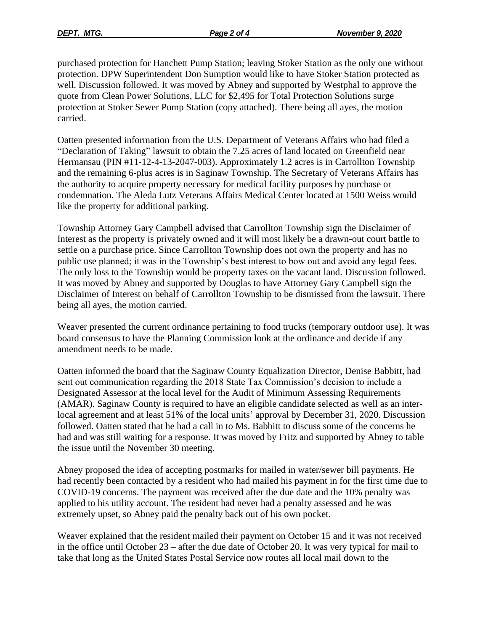purchased protection for Hanchett Pump Station; leaving Stoker Station as the only one without protection. DPW Superintendent Don Sumption would like to have Stoker Station protected as well. Discussion followed. It was moved by Abney and supported by Westphal to approve the quote from Clean Power Solutions, LLC for \$2,495 for Total Protection Solutions surge protection at Stoker Sewer Pump Station (copy attached). There being all ayes, the motion carried.

Oatten presented information from the U.S. Department of Veterans Affairs who had filed a "Declaration of Taking" lawsuit to obtain the 7.25 acres of land located on Greenfield near Hermansau (PIN #11-12-4-13-2047-003). Approximately 1.2 acres is in Carrollton Township and the remaining 6-plus acres is in Saginaw Township. The Secretary of Veterans Affairs has the authority to acquire property necessary for medical facility purposes by purchase or condemnation. The Aleda Lutz Veterans Affairs Medical Center located at 1500 Weiss would like the property for additional parking.

Township Attorney Gary Campbell advised that Carrollton Township sign the Disclaimer of Interest as the property is privately owned and it will most likely be a drawn-out court battle to settle on a purchase price. Since Carrollton Township does not own the property and has no public use planned; it was in the Township's best interest to bow out and avoid any legal fees. The only loss to the Township would be property taxes on the vacant land. Discussion followed. It was moved by Abney and supported by Douglas to have Attorney Gary Campbell sign the Disclaimer of Interest on behalf of Carrollton Township to be dismissed from the lawsuit. There being all ayes, the motion carried.

Weaver presented the current ordinance pertaining to food trucks (temporary outdoor use). It was board consensus to have the Planning Commission look at the ordinance and decide if any amendment needs to be made.

Oatten informed the board that the Saginaw County Equalization Director, Denise Babbitt, had sent out communication regarding the 2018 State Tax Commission's decision to include a Designated Assessor at the local level for the Audit of Minimum Assessing Requirements (AMAR). Saginaw County is required to have an eligible candidate selected as well as an interlocal agreement and at least 51% of the local units' approval by December 31, 2020. Discussion followed. Oatten stated that he had a call in to Ms. Babbitt to discuss some of the concerns he had and was still waiting for a response. It was moved by Fritz and supported by Abney to table the issue until the November 30 meeting.

Abney proposed the idea of accepting postmarks for mailed in water/sewer bill payments. He had recently been contacted by a resident who had mailed his payment in for the first time due to COVID-19 concerns. The payment was received after the due date and the 10% penalty was applied to his utility account. The resident had never had a penalty assessed and he was extremely upset, so Abney paid the penalty back out of his own pocket.

Weaver explained that the resident mailed their payment on October 15 and it was not received in the office until October 23 – after the due date of October 20. It was very typical for mail to take that long as the United States Postal Service now routes all local mail down to the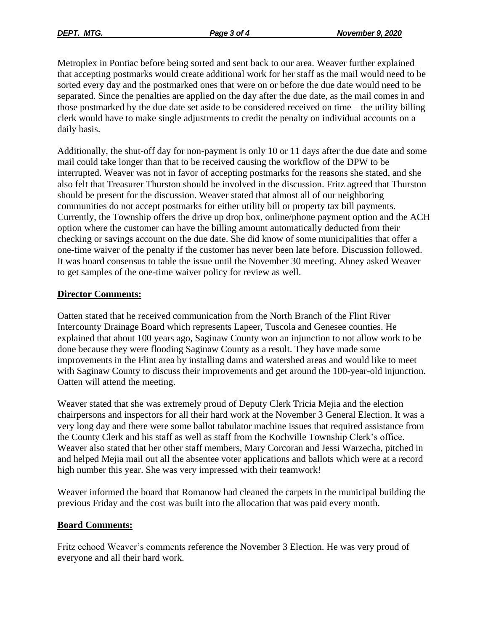Metroplex in Pontiac before being sorted and sent back to our area. Weaver further explained that accepting postmarks would create additional work for her staff as the mail would need to be sorted every day and the postmarked ones that were on or before the due date would need to be separated. Since the penalties are applied on the day after the due date, as the mail comes in and those postmarked by the due date set aside to be considered received on time – the utility billing clerk would have to make single adjustments to credit the penalty on individual accounts on a daily basis.

Additionally, the shut-off day for non-payment is only 10 or 11 days after the due date and some mail could take longer than that to be received causing the workflow of the DPW to be interrupted. Weaver was not in favor of accepting postmarks for the reasons she stated, and she also felt that Treasurer Thurston should be involved in the discussion. Fritz agreed that Thurston should be present for the discussion. Weaver stated that almost all of our neighboring communities do not accept postmarks for either utility bill or property tax bill payments. Currently, the Township offers the drive up drop box, online/phone payment option and the ACH option where the customer can have the billing amount automatically deducted from their checking or savings account on the due date. She did know of some municipalities that offer a one-time waiver of the penalty if the customer has never been late before. Discussion followed. It was board consensus to table the issue until the November 30 meeting. Abney asked Weaver to get samples of the one-time waiver policy for review as well.

# **Director Comments:**

Oatten stated that he received communication from the North Branch of the Flint River Intercounty Drainage Board which represents Lapeer, Tuscola and Genesee counties. He explained that about 100 years ago, Saginaw County won an injunction to not allow work to be done because they were flooding Saginaw County as a result. They have made some improvements in the Flint area by installing dams and watershed areas and would like to meet with Saginaw County to discuss their improvements and get around the 100-year-old injunction. Oatten will attend the meeting.

Weaver stated that she was extremely proud of Deputy Clerk Tricia Mejia and the election chairpersons and inspectors for all their hard work at the November 3 General Election. It was a very long day and there were some ballot tabulator machine issues that required assistance from the County Clerk and his staff as well as staff from the Kochville Township Clerk's office. Weaver also stated that her other staff members, Mary Corcoran and Jessi Warzecha, pitched in and helped Mejia mail out all the absentee voter applications and ballots which were at a record high number this year. She was very impressed with their teamwork!

Weaver informed the board that Romanow had cleaned the carpets in the municipal building the previous Friday and the cost was built into the allocation that was paid every month.

# **Board Comments:**

Fritz echoed Weaver's comments reference the November 3 Election. He was very proud of everyone and all their hard work.